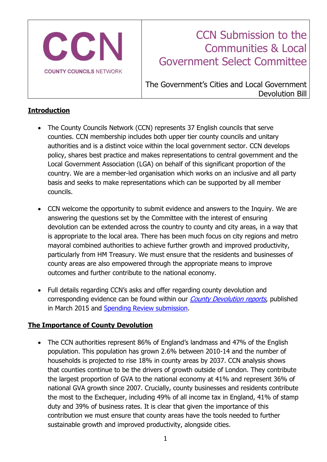

# CCN Submission to the Communities & Local Government Select Committee

The Government's Cities and Local Government Devolution Bill

## **Introduction**

- The County Councils Network (CCN) represents 37 English councils that serve counties. CCN membership includes both upper tier county councils and unitary authorities and is a distinct voice within the local government sector. CCN develops policy, shares best practice and makes representations to central government and the Local Government Association (LGA) on behalf of this significant proportion of the country. We are a member-led organisation which works on an inclusive and all party basis and seeks to make representations which can be supported by all member councils.
- CCN welcome the opportunity to submit evidence and answers to the Inquiry. We are answering the questions set by the Committee with the interest of ensuring devolution can be extended across the country to county and city areas, in a way that is appropriate to the local area. There has been much focus on city regions and metro mayoral combined authorities to achieve further growth and improved productivity, particularly from HM Treasury. We must ensure that the residents and businesses of county areas are also empowered through the appropriate means to improve outcomes and further contribute to the national economy.
- Full details regarding CCN's asks and offer regarding county devolution and corresponding evidence can be found within our *[County Devolution reports](http://www.countycouncilsnetwork.org.uk/county-devolution/)*, published in March 2015 and [Spending Review submission.](http://www.countycouncilsnetwork.org.uk/library/)

## **The Importance of County Devolution**

• The CCN authorities represent 86% of England's landmass and 47% of the English population. This population has grown 2.6% between 2010-14 and the number of households is projected to rise 18% in county areas by 2037. CCN analysis shows that counties continue to be the drivers of growth outside of London. They contribute the largest proportion of GVA to the national economy at 41% and represent 36% of national GVA growth since 2007. Crucially, county businesses and residents contribute the most to the Exchequer, including 49% of all income tax in England, 41% of stamp duty and 39% of business rates. It is clear that given the importance of this contribution we must ensure that county areas have the tools needed to further sustainable growth and improved productivity, alongside cities.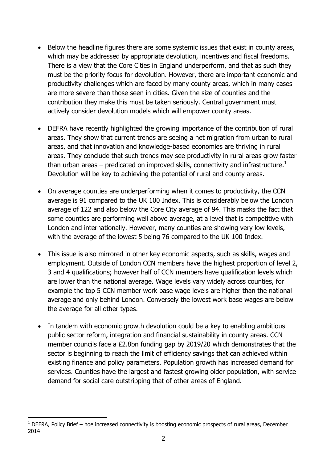- Below the headline figures there are some systemic issues that exist in county areas, which may be addressed by appropriate devolution, incentives and fiscal freedoms. There is a view that the Core Cities in England underperform, and that as such they must be the priority focus for devolution. However, there are important economic and productivity challenges which are faced by many county areas, which in many cases are more severe than those seen in cities. Given the size of counties and the contribution they make this must be taken seriously. Central government must actively consider devolution models which will empower county areas.
- DEFRA have recently highlighted the growing importance of the contribution of rural areas. They show that current trends are seeing a net migration from urban to rural areas, and that innovation and knowledge-based economies are thriving in rural areas. They conclude that such trends may see productivity in rural areas grow faster than urban areas – predicated on improved skills, connectivity and infrastructure.<sup>1</sup> Devolution will be key to achieving the potential of rural and county areas.
- On average counties are underperforming when it comes to productivity, the CCN average is 91 compared to the UK 100 Index. This is considerably below the London average of 122 and also below the Core City average of 94. This masks the fact that some counties are performing well above average, at a level that is competitive with London and internationally. However, many counties are showing very low levels, with the average of the lowest 5 being 76 compared to the UK 100 Index.
- This issue is also mirrored in other key economic aspects, such as skills, wages and employment. Outside of London CCN members have the highest proportion of level 2, 3 and 4 qualifications; however half of CCN members have qualification levels which are lower than the national average. Wage levels vary widely across counties, for example the top 5 CCN member work base wage levels are higher than the national average and only behind London. Conversely the lowest work base wages are below the average for all other types.
- In tandem with economic growth devolution could be a key to enabling ambitious public sector reform, integration and financial sustainability in county areas. CCN member councils face a £2.8bn funding gap by 2019/20 which demonstrates that the sector is beginning to reach the limit of efficiency savings that can achieved within existing finance and policy parameters. Population growth has increased demand for services. Counties have the largest and fastest growing older population, with service demand for social care outstripping that of other areas of England.

-

 $1$  DEFRA, Policy Brief – hoe increased connectivity is boosting economic prospects of rural areas, December 2014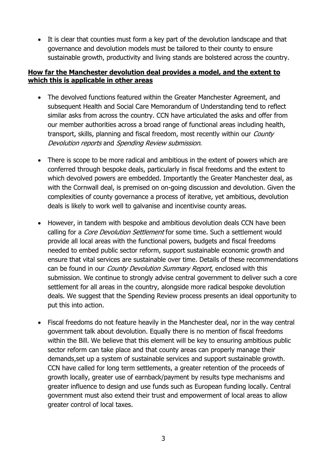It is clear that counties must form a key part of the devolution landscape and that governance and devolution models must be tailored to their county to ensure sustainable growth, productivity and living stands are bolstered across the country.

### **How far the Manchester devolution deal provides a model, and the extent to which this is applicable in other areas**

- The devolved functions featured within the Greater Manchester Agreement, and subsequent Health and Social Care Memorandum of Understanding tend to reflect similar asks from across the country. CCN have articulated the asks and offer from our member authorities across a broad range of functional areas including health, transport, skills, planning and fiscal freedom, most recently within our *County* Devolution reports and Spending Review submission.
- There is scope to be more radical and ambitious in the extent of powers which are conferred through bespoke deals, particularly in fiscal freedoms and the extent to which devolved powers are embedded. Importantly the Greater Manchester deal, as with the Cornwall deal, is premised on on-going discussion and devolution. Given the complexities of county governance a process of iterative, yet ambitious, devolution deals is likely to work well to galvanise and incentivise county areas.
- However, in tandem with bespoke and ambitious devolution deals CCN have been calling for a *Core Devolution Settlement* for some time. Such a settlement would provide all local areas with the functional powers, budgets and fiscal freedoms needed to embed public sector reform, support sustainable economic growth and ensure that vital services are sustainable over time. Details of these recommendations can be found in our *County Devolution Summary Report*, enclosed with this submission. We continue to strongly advise central government to deliver such a core settlement for all areas in the country, alongside more radical bespoke devolution deals. We suggest that the Spending Review process presents an ideal opportunity to put this into action.
- Fiscal freedoms do not feature heavily in the Manchester deal, nor in the way central government talk about devolution. Equally there is no mention of fiscal freedoms within the Bill. We believe that this element will be key to ensuring ambitious public sector reform can take place and that county areas can properly manage their demands,set up a system of sustainable services and support sustainable growth. CCN have called for long term settlements, a greater retention of the proceeds of growth locally, greater use of earnback/payment by results type mechanisms and greater influence to design and use funds such as European funding locally. Central government must also extend their trust and empowerment of local areas to allow greater control of local taxes.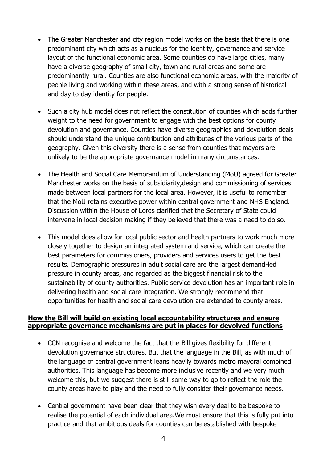- The Greater Manchester and city region model works on the basis that there is one predominant city which acts as a nucleus for the identity, governance and service layout of the functional economic area. Some counties do have large cities, many have a diverse geography of small city, town and rural areas and some are predominantly rural. Counties are also functional economic areas, with the majority of people living and working within these areas, and with a strong sense of historical and day to day identity for people.
- Such a city hub model does not reflect the constitution of counties which adds further weight to the need for government to engage with the best options for county devolution and governance. Counties have diverse geographies and devolution deals should understand the unique contribution and attributes of the various parts of the geography. Given this diversity there is a sense from counties that mayors are unlikely to be the appropriate governance model in many circumstances.
- The Health and Social Care Memorandum of Understanding (MoU) agreed for Greater Manchester works on the basis of subsidiarity,design and commissioning of services made between local partners for the local area. However, it is useful to remember that the MoU retains executive power within central government and NHS England. Discussion within the House of Lords clarified that the Secretary of State could intervene in local decision making if they believed that there was a need to do so.
- This model does allow for local public sector and health partners to work much more closely together to design an integrated system and service, which can create the best parameters for commissioners, providers and services users to get the best results. Demographic pressures in adult social care are the largest demand-led pressure in county areas, and regarded as the biggest financial risk to the sustainability of county authorities. Public service devolution has an important role in delivering health and social care integration. We strongly recommend that opportunities for health and social care devolution are extended to county areas.

#### **How the Bill will build on existing local accountability structures and ensure appropriate governance mechanisms are put in places for devolved functions**

- CCN recognise and welcome the fact that the Bill gives flexibility for different devolution governance structures. But that the language in the Bill, as with much of the language of central government leans heavily towards metro mayoral combined authorities. This language has become more inclusive recently and we very much welcome this, but we suggest there is still some way to go to reflect the role the county areas have to play and the need to fully consider their governance needs.
- Central government have been clear that they wish every deal to be bespoke to realise the potential of each individual area.We must ensure that this is fully put into practice and that ambitious deals for counties can be established with bespoke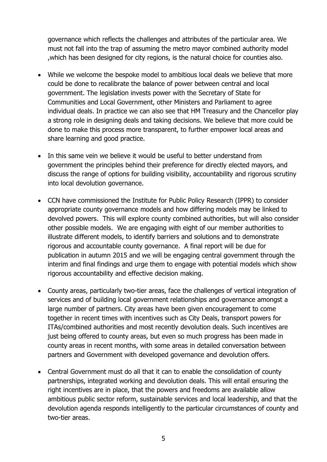governance which reflects the challenges and attributes of the particular area. We must not fall into the trap of assuming the metro mayor combined authority model ,which has been designed for city regions, is the natural choice for counties also.

- While we welcome the bespoke model to ambitious local deals we believe that more could be done to recalibrate the balance of power between central and local government. The legislation invests power with the Secretary of State for Communities and Local Government, other Ministers and Parliament to agree individual deals. In practice we can also see that HM Treasury and the Chancellor play a strong role in designing deals and taking decisions. We believe that more could be done to make this process more transparent, to further empower local areas and share learning and good practice.
- In this same vein we believe it would be useful to better understand from government the principles behind their preference for directly elected mayors, and discuss the range of options for building visibility, accountability and rigorous scrutiny into local devolution governance.
- CCN have commissioned the Institute for Public Policy Research (IPPR) to consider appropriate county governance models and how differing models may be linked to devolved powers. This will explore county combined authorities, but will also consider other possible models. We are engaging with eight of our member authorities to illustrate different models, to identify barriers and solutions and to demonstrate rigorous and accountable county governance. A final report will be due for publication in autumn 2015 and we will be engaging central government through the interim and final findings and urge them to engage with potential models which show rigorous accountability and effective decision making.
- County areas, particularly two-tier areas, face the challenges of vertical integration of services and of building local government relationships and governance amongst a large number of partners. City areas have been given encouragement to come together in recent times with incentives such as City Deals, transport powers for ITAs/combined authorities and most recently devolution deals. Such incentives are just being offered to county areas, but even so much progress has been made in county areas in recent months, with some areas in detailed conversation between partners and Government with developed governance and devolution offers.
- Central Government must do all that it can to enable the consolidation of county partnerships, integrated working and devolution deals. This will entail ensuring the right incentives are in place, that the powers and freedoms are available allow ambitious public sector reform, sustainable services and local leadership, and that the devolution agenda responds intelligently to the particular circumstances of county and two-tier areas.